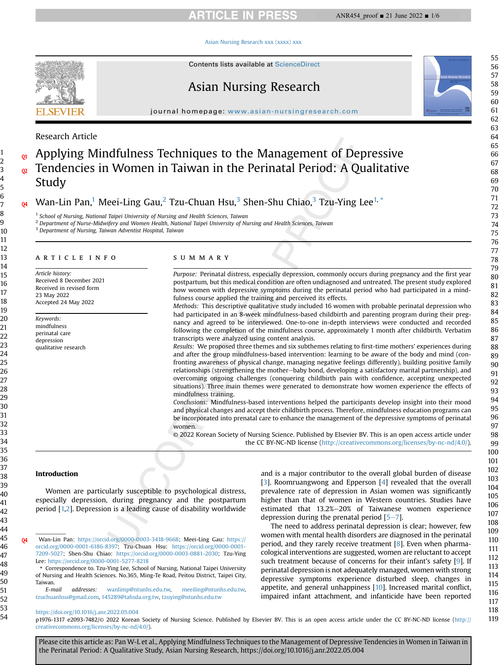# **ARTICLE IN PRESS**

ANR454\_proof ■ 21 June 2022 ■ 1/6

#### [Asian Nursing Research xxx \(xxxx\) xxx](https://doi.org/10.1016/j.anr.2022.05.004)



Contents lists available at ScienceDirect

# Asian Nursing Research

journal homepage: [www.asian-nursingresearch.com](http://www.asian-nursingresearch.com)

# Research Article

# Applying Mindfulness Techniques to the Management of Depressive Tendencies in Women in Taiwan in the Perinatal Period: A Qualitative Study

Wan-Lin Pan,<sup>[1](#page-0-0)</sup> Meei-Ling Gau,<sup>[2](#page-0-1)</sup> Tzu-Chuan Hsu,<sup>[3](#page-0-2)</sup> Shen-Shu Chiao,<sup>3</sup> Tzu-Ying Lee<sup>[1,](#page-0-0) \*</sup>

<span id="page-0-0"></span> $<sup>1</sup>$  School of Nursing, National Taipei University of Nursing and Health Sciences, Taiwan</sup>

<span id="page-0-1"></span><sup>2</sup> Department of Nurse-Midwifery and Women Health, National Taipei University of Nursing and Health Sciences, Taiwan

<span id="page-0-2"></span><sup>3</sup> Department of Nursing, Taiwan Adventist Hospital, Taiwan

## article info

Article history: Received 8 December 2021 Received in revised form 23 May 2022 Accepted 24 May 2022

Keywords: mindfulness perinatal care

depression qualitative research

#### summary

Purpose: Perinatal distress, especially depression, commonly occurs during pregnancy and the first year postpartum, but this medical condition are often undiagnosed and untreated. The present study explored how women with depressive symptoms during the perinatal period who had participated in a mindfulness course applied the training and perceived its effects.

Methods: This descriptive qualitative study included 16 women with probable perinatal depression who had participated in an 8-week mindfulness-based childbirth and parenting program during their pregnancy and agreed to be interviewed. One-to-one in-depth interviews were conducted and recorded following the completion of the mindfulness course, approximately 1 month after childbirth. Verbatim transcripts were analyzed using content analysis.

Results: We proposed three themes and six subthemes relating to first-time mothers' experiences during and after the group mindfulness-based intervention: learning to be aware of the body and mind (confronting awareness of physical change, managing negative feelings differently), building positive family relationships (strengthening the mother-baby bond, developing a satisfactory marital partnership), and overcoming ongoing challenges (conquering childbirth pain with confidence, accepting unexpected situations). Three main themes were generated to demonstrate how women experience the effects of mindfulness training.

Conclusions: Mindfulness-based interventions helped the participants develop insight into their mood and physical changes and accept their childbirth process. Therefore, mindfulness education programs can be incorporated into prenatal care to enhance the management of the depressive symptoms of perinatal women.

© 2022 Korean Society of Nursing Science. Published by Elsevier BV. This is an open access article under the CC BY-NC-ND license [\(http://creativecommons.org/licenses/by-nc-nd/4.0/](http://creativecommons.org/licenses/by-nc-nd/4.0/)).

#### Introduction

Women are particularly susceptible to psychological distress, especially depression, during pregnancy and the postpartum period [[1,](#page-5-0)[2](#page-5-1)]. Depression is a leading cause of disability worldwide

E-mail addresses: [wanlimp@ntunhs.edu.tw,](mailto:wanlimp@ntunhs.edu.tw) [meeiling@ntunhs.edu.tw](mailto:meeiling@ntunhs.edu.tw), [tzuchuanhsu@gmail.com,](mailto:tzuchuanhsu@gmail.com) [145289@tahsda.org.tw,](mailto:145289@tahsda.org.tw) [tzuying@ntunhs.edu.tw](mailto:tzuying@ntunhs.edu.tw)

and is a major contributor to the overall global burden of disease [\[3](#page-5-2)]. Roomruangwong and Epperson [\[4](#page-5-3)] revealed that the overall prevalence rate of depression in Asian women was significantly higher than that of women in Western countries. Studies have estimated that 13.2%-20% of Taiwanese women experience depression during the prenatal period  $[5-7]$  $[5-7]$  $[5-7]$ .

The need to address perinatal depression is clear; however, few women with mental health disorders are diagnosed in the perinatal period, and they rarely receive treatment [\[8](#page-5-5)]. Even when pharmacological interventions are suggested, women are reluctant to accept such treatment because of concerns for their infant's safety [[9\]](#page-5-6). If perinatal depression is not adequately managed, women with strong depressive symptoms experience disturbed sleep, changes in appetite, and general unhappiness [\[10\]](#page-5-7). Increased marital conflict, impaired infant attachment, and infanticide have been reported

p1976-1317 e2093-7482/© 2022 Korean Society of Nursing Science. Published by Elsevier BV. This is an open access article under the CC BY-NC-ND license ([http://](http://creativecommons.org/licenses/by-nc-nd/4.0/) [creativecommons.org/licenses/by-nc-nd/4.0/](http://creativecommons.org/licenses/by-nc-nd/4.0/)).

Please cite this article as: Pan W-L et al., Applying Mindfulness Techniques to the Management of Depressive Tendencies in Women in Taiwan in the Perinatal Period: A Qualitative Study, Asian Nursing Research, https://doi.org/10.1016/j.anr.2022.05.004

1

Q4 Wan-Lin Pan: [https://orcid.org/0000-0003-3418-9668;](https://orcid.org/0000-0003-3418-9668) Meei-Ling Gau: [https://](https://orcid.org/0000-0001-6186-8397) [orcid.org/0000-0001-6186-8397](https://orcid.org/0000-0001-6186-8397); Tzu-Chuan Hsu: [https://orcid.org/0000-0001-](https://orcid.org/0000-0001-7209-5027) [7209-5027](https://orcid.org/0000-0001-7209-5027); Shen-Shu Chiao: <https://orcid.org/0000-0003-0881-2030>; Tzu-Ying Lee: <https://orcid.org/0000-0001-5277-8218>

<sup>\*</sup> Correspondence to. Tzu-Ying Lee, School of Nursing, National Taipei University of Nursing and Health Sciences. No.365, Ming-Te Road, Peitou District, Taipei City, Taiwan.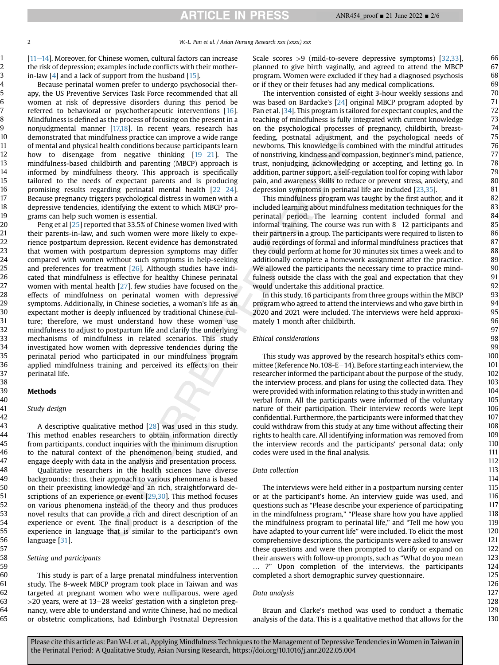[[11](#page-5-8)-[14](#page-5-8)]. Moreover, for Chinese women, cultural factors can increase the risk of depression; examples include conflicts with their motherin-law  $[4]$  and a lack of support from the husband  $[15]$  $[15]$ .

Because perinatal women prefer to undergo psychosocial therapy, the US Preventive Services Task Force recommended that all women at risk of depressive disorders during this period be referred to behavioral or psychotherapeutic interventions [\[16](#page-5-10)]. Mindfulness is defined as the process of focusing on the present in a nonjudgmental manner [[17,](#page-5-11)[18\]](#page-5-12). In recent years, research has demonstrated that mindfulness practice can improve a wide range of mental and physical health conditions because participants learn how to disengage from negative thinking  $[19-21]$  $[19-21]$  $[19-21]$  $[19-21]$ . The mindfulness-based childbirth and parenting (MBCP) approach is informed by mindfulness theory. This approach is specifically tailored to the needs of expectant parents and is producing promising results regarding perinatal mental health  $[22-24]$  $[22-24]$  $[22-24]$  $[22-24]$  $[22-24]$ . Because pregnancy triggers psychological distress in women with a depressive tendencies, identifying the extent to which MBCP programs can help such women is essential.

Peng et al [[25](#page-5-15)] reported that 33.5% of Chinese women lived with their parents-in-law, and such women were more likely to experience postpartum depression. Recent evidence has demonstrated that women with postpartum depression symptoms may differ compared with women without such symptoms in help-seeking and preferences for treatment [\[26\]](#page-5-16). Although studies have indicated that mindfulness is effective for healthy Chinese perinatal women with mental health [\[27\]](#page-5-17), few studies have focused on the effects of mindfulness on perinatal women with depressive symptoms. Additionally, in Chinese societies, a woman's life as an expectant mother is deeply influenced by traditional Chinese culture; therefore, we must understand how these women use mindfulness to adjust to postpartum life and clarify the underlying mechanisms of mindfulness in related scenarios. This study investigated how women with depressive tendencies during the perinatal period who participated in our mindfulness program applied mindfulness training and perceived its effects on their perinatal life.

# **Methods**

## Study design

A descriptive qualitative method [[28](#page-5-18)] was used in this study. This method enables researchers to obtain information directly from participants, conduct inquiries with the minimum disruption to the natural context of the phenomenon being studied, and engage deeply with data in the analysis and presentation process.

Qualitative researchers in the health sciences have diverse backgrounds; thus, their approach to various phenomena is based on their preexisting knowledge and an rich, straightforward de-scriptions of an experience or event [[29](#page-5-19)[,30\]](#page-5-20). This method focuses on various phenomena instead of the theory and thus produces novel results that can provide a rich and direct description of an experience or event. The final product is a description of the experience in language that is similar to the participant's own language [\[31](#page-5-21)].

# Setting and participants

This study is part of a large prenatal mindfulness intervention study. The 8-week MBCP program took place in Taiwan and was targeted at pregnant women who were nulliparous, were aged  $>$ 20 years, were at 13–28 weeks' gestation with a singleton pregnancy, were able to understand and write Chinese, had no medical or obstetric complications, had Edinburgh Postnatal Depression

Scale scores >9 (mild-to-severe depressive symptoms) [\[32,](#page-5-22)[33](#page-5-23)], planned to give birth vaginally, and agreed to attend the MBCP program. Women were excluded if they had a diagnosed psychosis or if they or their fetuses had any medical complications.

The intervention consisted of eight 3-hour weekly sessions and was based on Bardacke's [[24\]](#page-5-24) original MBCP program adopted by Pan et al. [[34](#page-5-25)]. This program is tailored for expectant couples, and the teaching of mindfulness is fully integrated with current knowledge on the psychological processes of pregnancy, childbirth, breastfeeding, postnatal adjustment, and the psychological needs of newborns. This knowledge is combined with the mindful attitudes of nonstriving, kindness and compassion, beginner's mind, patience, trust, nonjudging, acknowledging or accepting, and letting go. In addition, partner support, a self-regulation tool for coping with labor pain, and awareness skills to reduce or prevent stress, anxiety, and depression symptoms in perinatal life are included [[23](#page-5-26)[,35](#page-5-27)].

This mindfulness program was taught by the first author, and it included learning about mindfulness meditation techniques for the perinatal period. The learning content included formal and informal training. The course was run with  $8-12$  participants and their partners in a group. The participants were required to listen to audio recordings of formal and informal mindfulness practices that they could perform at home for 30 minutes six times a week and to additionally complete a homework assignment after the practice. We allowed the participants the necessary time to practice mindfulness outside the class with the goal and expectation that they would undertake this additional practice.

In this study, 16 participants from three groups within the MBCP program who agreed to attend the interviews and who gave birth in 2020 and 2021 were included. The interviews were held approximately 1 month after childbirth.

# Ethical considerations

This study was approved by the research hospital's ethics committee (Reference No. 108-E $-14$ ). Before starting each interview, the researcher informed the participant about the purpose of the study, the interview process, and plans for using the collected data. They were provided with information relating to this study in written and verbal form. All the participants were informed of the voluntary nature of their participation. Their interview records were kept confidential. Furthermore, the participants were informed that they could withdraw from this study at any time without affecting their rights to health care. All identifying information was removed from the interview records and the participants' personal data; only codes were used in the final analysis.

# Data collection

The interviews were held either in a postpartum nursing center or at the participant's home. An interview guide was used, and questions such as "Please describe your experience of participating in the mindfulness program," "Please share how you have applied the mindfulness program to perinatal life," and "Tell me how you have adapted to your current life" were included. To elicit the most comprehensive descriptions, the participants were asked to answer these questions and were then prompted to clarify or expand on their answers with follow-up prompts, such as "What do you mean … ?" Upon completion of the interviews, the participants completed a short demographic survey questionnaire.

## Data analysis

Braun and Clarke's method was used to conduct a thematic analysis of the data. This is a qualitative method that allows for the

Please cite this article as: Pan W-L et al., Applying Mindfulness Techniques to the Management of Depressive Tendencies in Women in Taiwan in the Perinatal Period: A Qualitative Study, Asian Nursing Research, https://doi.org/10.1016/j.anr.2022.05.004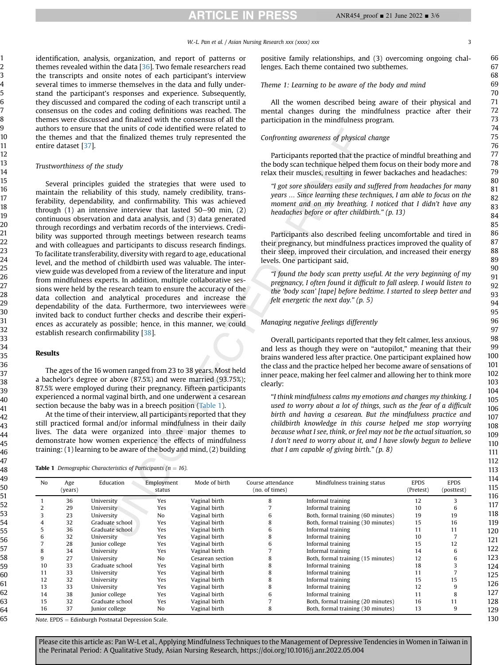**ARTICLE IN PRESS** 

#### W.-L. Pan et al. / Asian Nursing Research xxx (xxxx) xxx 3 3

identification, analysis, organization, and report of patterns or themes revealed within the data  $[36]$ . Two female researchers read the transcripts and onsite notes of each participant's interview several times to immerse themselves in the data and fully understand the participant's responses and experience. Subsequently, they discussed and compared the coding of each transcript until a consensus on the codes and coding definitions was reached. The themes were discussed and finalized with the consensus of all the authors to ensure that the units of code identified were related to the themes and that the finalized themes truly represented the entire dataset [\[37](#page-5-29)].

## Trustworthiness of the study

Several principles guided the strategies that were used to maintain the reliability of this study, namely credibility, transferability, dependability, and confirmability. This was achieved through  $(1)$  an intensive interview that lasted  $50-90$  min,  $(2)$ continuous observation and data analysis, and (3) data generated through recordings and verbatim records of the interviews. Credibility was supported through meetings between research teams and with colleagues and participants to discuss research findings. To facilitate transferability, diversity with regard to age, educational level, and the method of childbirth used was valuable. The interview guide was developed from a review of the literature and input from mindfulness experts. In addition, multiple collaborative sessions were held by the research team to ensure the accuracy of the data collection and analytical procedures and increase the dependability of the data. Furthermore, two interviewees were invited back to conduct further checks and describe their experiences as accurately as possible; hence, in this manner, we could establish research confirmability [\[38\]](#page-5-30).

## Results

The ages of the 16 women ranged from 23 to 38 years. Most held a bachelor's degree or above (87.5%) and were married (93.75%); 87.5% were employed during their pregnancy. Fifteen participants experienced a normal vaginal birth, and one underwent a cesarean section because the baby was in a breech position ([Table 1\)](#page-2-0).

At the time of their interview, all participants reported that they still practiced formal and/or informal mindfulness in their daily lives. The data were organized into three major themes to demonstrate how women experience the effects of mindfulness training: (1) learning to be aware of the body and mind, (2) building

<span id="page-2-0"></span>**Table 1** Demographic Characteristics of Participants ( $n = 16$ ).

positive family relationships, and (3) overcoming ongoing challenges. Each theme contained two subthemes.

#### Theme 1: Learning to be aware of the body and mind

All the women described being aware of their physical and mental changes during the mindfulness practice after their participation in the mindfulness program.

#### Confronting awareness of physical change

Participants reported that the practice of mindful breathing and the body scan technique helped them focus on their body more and relax their muscles, resulting in fewer backaches and headaches:

"I got sore shoulders easily and suffered from headaches for many years … Since learning these techniques, I am able to focus on the moment and on my breathing. I noticed that I didn't have any headaches before or after childbirth." (p. 13)

Participants also described feeling uncomfortable and tired in their pregnancy, but mindfulness practices improved the quality of their sleep, improved their circulation, and increased their energy levels. One participant said,

"I found the body scan pretty useful. At the very beginning of my pregnancy, I often found it difficult to fall asleep. I would listen to the 'body scan' [tape] before bedtime. I started to sleep better and felt energetic the next day." (p. 5)

## Managing negative feelings differently

Overall, participants reported that they felt calmer, less anxious, and less as though they were on "autopilot," meaning that their brains wandered less after practice. One participant explained how the class and the practice helped her become aware of sensations of inner peace, making her feel calmer and allowing her to think more clearly:

"I think mindfulness calms my emotions and changes my thinking. I used to worry about a lot of things, such as the fear of a difficult birth and having a cesarean. But the mindfulness practice and childbirth knowledge in this course helped me stop worrying because what I see, think, or feel may not be the actual situation, so I don't need to worry about it, and I have slowly begun to believe that I am capable of giving birth."  $(p, 8)$ 

| No | Age<br>(years) | Education       | Employment<br>status | Mode of birth    | Course attendance<br>(no. of times) | Mindfulness training status        | <b>EPDS</b><br>(Pretest) | <b>EPDS</b><br>(posttest) |
|----|----------------|-----------------|----------------------|------------------|-------------------------------------|------------------------------------|--------------------------|---------------------------|
|    | 36             | University      | Yes                  | Vaginal birth    |                                     | Informal training                  | 12                       |                           |
|    | 29             | University      | Yes                  | Vaginal birth    |                                     | Informal training                  | 10                       |                           |
|    | 23             | University      | N <sub>o</sub>       | Vaginal birth    |                                     | Both, formal training (60 minutes) | 19                       | 19                        |
|    | 32             | Graduate school | Yes                  | Vaginal birth    |                                     | Both, formal training (30 minutes) | 15                       | 16                        |
|    | 36             | Graduate school | Yes                  | Vaginal birth    | 6                                   | Informal training                  | 11                       |                           |
|    | 32             | University      | Yes                  | Vaginal birth    |                                     | Informal training                  | 10                       |                           |
|    | 28             | Junior college  | Yes                  | Vaginal birth    |                                     | Informal training                  | 15                       | 12                        |
|    | 34             | University      | Yes                  | Vaginal birth    |                                     | Informal training                  | 14                       |                           |
|    | 27             | University      | N <sub>0</sub>       | Cesarean section |                                     | Both, formal training (15 minutes) | 12                       |                           |
| 10 | 33             | Graduate school | Yes                  | Vaginal birth    |                                     | Informal training                  | 18                       |                           |
| 11 | 33             | University      | Yes                  | Vaginal birth    |                                     | Informal training                  | 11                       |                           |
| 12 | 32             | University      | Yes                  | Vaginal birth    |                                     | Informal training                  | 15                       | 15                        |
| 13 | 33             | University      | Yes                  | Vaginal birth    |                                     | Informal training                  | 12                       |                           |
| 14 | 38             | Junior college  | Yes                  | Vaginal birth    |                                     | Informal training                  | 11                       |                           |
| 15 | 32             | Graduate school | Yes                  | Vaginal birth    |                                     | Both, formal training (20 minutes) | 16                       |                           |
| 16 | 37             | Junior college  | N <sub>0</sub>       | Vaginal birth    |                                     | Both, formal training (30 minutes) | 13                       |                           |

 $Note. EPDS = Edinburgh$  Postnatal Depression Scale.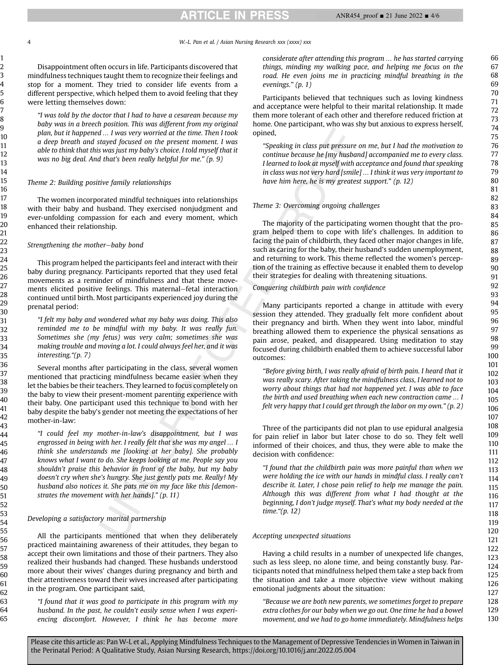able to think that this was just my baby's choice. I told myself that it was no big deal. And that's been really helpful for me." (p. 9) Theme 2: Building positive family relationships The women incorporated mindful techniques into relationships with their baby and husband. They exercised nonjudgment and ever-unfolding compassion for each and every moment, which enhanced their relationship. Strengthening the mother-baby bond This program helped the participants feel and interact with their baby during pregnancy. Participants reported that they used fetal movements as a reminder of mindfulness and that these movements elicited positive feelings. This maternal–fetal interaction continued until birth. Most participants experienced joy during the prenatal period: "I felt my baby and wondered what my baby was doing. This also reminded me to be mindful with my baby. It was really fun. Sometimes she (my fetus) was very calm; sometimes she was making trouble and moving a lot. I could always feel her, and it was interesting."(p. 7) Several months after participating in the class, several women mentioned that practicing mindfulness became easier when they let the babies be their teachers. They learned to focus completely on the baby to view their present-moment parenting experience with their baby. One participant used this technique to bond with her baby despite the baby's gender not meeting the expectations of her mother-in-law: "I could feel my mother-in-law's disappointment, but I was engrossed in being with her. I really felt that she was my angel … I think she understands me [looking at her baby]. She probably knows what I want to do. She keeps looking at me. People say you shouldn't praise this behavior in front of the baby, but my baby doesn't cry when she's hungry. She just gently pats me. Really! My husband also notices it. She pats me on my face like this [demonstrates the movement with her hands]." (p. 11)

were letting themselves down:

## Developing a satisfactory marital partnership

All the participants mentioned that when they deliberately practiced maintaining awareness of their attitudes, they began to accept their own limitations and those of their partners. They also realized their husbands had changed. These husbands understood more about their wives' changes during pregnancy and birth and their attentiveness toward their wives increased after participating in the program. One participant said,

Disappointment often occurs in life. Participants discovered that mindfulness techniques taught them to recognize their feelings and stop for a moment. They tried to consider life events from a different perspective, which helped them to avoid feeling that they

"I was told by the doctor that I had to have a cesarean because my baby was in a breech position. This was different from my original plan, but it happened … I was very worried at the time. Then I took a deep breath and stayed focused on the present moment. I was

"I found that it was good to participate in this program with my husband. In the past, he couldn't easily sense when I was experiencing discomfort. However, I think he has become more considerate after attending this program … he has started carrying things, minding my walking pace, and helping me focus on the road. He even joins me in practicing mindful breathing in the evenings." (p. 1)

Participants believed that techniques such as loving kindness and acceptance were helpful to their marital relationship. It made them more tolerant of each other and therefore reduced friction at home. One participant, who was shy but anxious to express herself, opined,

"Speaking in class put pressure on me, but I had the motivation to continue because he [my husband] accompanied me to every class. I learned to look at myself with acceptance and found that speaking in class was not very hard [smile] … I think it was very important to have him here, he is my greatest support." (p. 12)

## Theme 3: Overcoming ongoing challenges

The majority of the participating women thought that the program helped them to cope with life's challenges. In addition to facing the pain of childbirth, they faced other major changes in life, such as caring for the baby, their husband's sudden unemployment, and returning to work. This theme reflected the women's perception of the training as effective because it enabled them to develop their strategies for dealing with threatening situations.

Conquering childbirth pain with confidence

Many participants reported a change in attitude with every session they attended. They gradually felt more confident about their pregnancy and birth. When they went into labor, mindful breathing allowed them to experience the physical sensations as pain arose, peaked, and disappeared. Using meditation to stay focused during childbirth enabled them to achieve successful labor outcomes:

"Before giving birth, I was really afraid of birth pain. I heard that it was really scary. After taking the mindfulness class, I learned not to worry about things that had not happened yet. I was able to face the birth and used breathing when each new contraction came … I felt very happy that I could get through the labor on my own." (p. 2)

Three of the participants did not plan to use epidural analgesia for pain relief in labor but later chose to do so. They felt well informed of their choices, and thus, they were able to make the decision with confidence:

"I found that the childbirth pain was more painful than when we were holding the ice with our hands in mindful class. I really can't describe it. Later, I chose pain relief to help me manage the pain. Although this was different from what I had thought at the beginning, I don't judge myself. That's what my body needed at the time."(p. 12)

#### Accepting unexpected situations

Having a child results in a number of unexpected life changes, such as less sleep, no alone time, and being constantly busy. Participants noted that mindfulness helped them take a step back from the situation and take a more objective view without making emotional judgments about the situation:

"Because we are both new parents, we sometimes forget to prepare extra clothes for our baby when we go out. One time he had a bowel movement, and we had to go home immediately. Mindfulness helps

ANR454\_proof ■ 21 June 2022 ■ 4/6

#### 4 W.-L. Pan et al. / Asian Nursing Research xxx (xxxx) xxx



Please cite this article as: Pan W-L et al., Applying Mindfulness Techniques to the Management of Depressive Tendencies in Women in Taiwan in the Perinatal Period: A Qualitative Study, Asian Nursing Research, https://doi.org/10.1016/j.anr.2022.05.004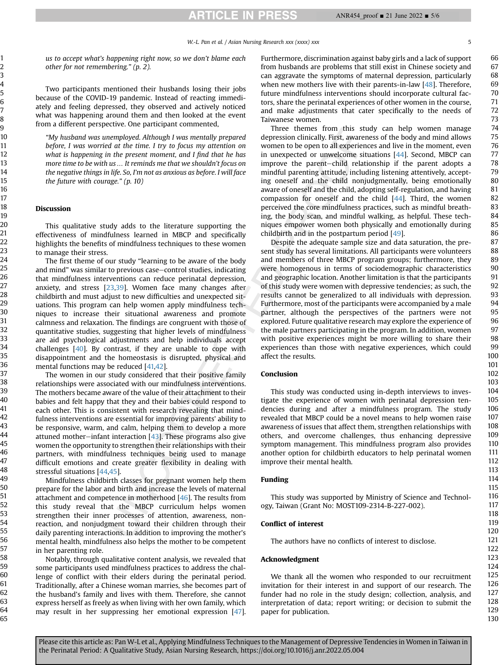1

**ARTICLE IN PRESS** 

W.-L. Pan et al. / Asian Nursing Research xxx (xxxx) xxx 5

us to accept what's happening right now, so we don't blame each other for not remembering." (p. 2).

Two participants mentioned their husbands losing their jobs because of the COVID-19 pandemic. Instead of reacting immediately and feeling depressed, they observed and actively noticed what was happening around them and then looked at the event from a different perspective. One participant commented,

"My husband was unemployed. Although I was mentally prepared before, I was worried at the time. I try to focus my attention on what is happening in the present moment, and I find that he has more time to be with us … It reminds me that we shouldn't focus on the negative things in life. So, I'm not as anxious as before. I will face the future with courage." (p. 10)

#### Discussion

This qualitative study adds to the literature supporting the effectiveness of mindfulness learned in MBCP and specifically highlights the benefits of mindfulness techniques to these women to manage their stress.

The first theme of our study "learning to be aware of the body and mind" was similar to previous case–control studies, indicating that mindfulness interventions can reduce perinatal depression, anxiety, and stress  $[23,39]$  $[23,39]$  $[23,39]$ . Women face many changes after childbirth and must adjust to new difficulties and unexpected situations. This program can help women apply mindfulness techniques to increase their situational awareness and promote calmness and relaxation. The findings are congruent with those of quantitative studies, suggesting that higher levels of mindfulness are aid psychological adjustments and help individuals accept challenges [\[40\]](#page-5-32). By contrast, if they are unable to cope with disappointment and the homeostasis is disrupted, physical and mental functions may be reduced [\[41,](#page-5-33)[42](#page-5-34)].

The women in our study considered that their positive family relationships were associated with our mindfulness interventions. The mothers became aware of the value of their attachment to their babies and felt happy that they and their babies could respond to each other. This is consistent with research revealing that mindfulness interventions are essential for improving parents' ability to be responsive, warm, and calm, helping them to develop a more attuned mother-infant interaction  $[43]$ . These programs also give women the opportunity to strengthen their relationships with their partners, with mindfulness techniques being used to manage difficult emotions and create greater flexibility in dealing with stressful situations [[44](#page-5-36)[,45\]](#page-5-37).

Mindfulness childbirth classes for pregnant women help them prepare for the labor and birth and increase the levels of maternal attachment and competence in motherhood [[46](#page-5-38)]. The results from this study reveal that the MBCP curriculum helps women strengthen their inner processes of attention, awareness, nonreaction, and nonjudgment toward their children through their daily parenting interactions. In addition to improving the mother's mental health, mindfulness also helps the mother to be competent in her parenting role.

Notably, through qualitative content analysis, we revealed that some participants used mindfulness practices to address the challenge of conflict with their elders during the perinatal period. Traditionally, after a Chinese woman marries, she becomes part of the husband's family and lives with them. Therefore, she cannot express herself as freely as when living with her own family, which may result in her suppressing her emotional expression [[47\]](#page-5-39). Furthermore, discrimination against baby girls and a lack of support from husbands are problems that still exist in Chinese society and can aggravate the symptoms of maternal depression, particularly when new mothers live with their parents-in-law [\[48\]](#page-5-40). Therefore, future mindfulness interventions should incorporate cultural factors, share the perinatal experiences of other women in the course, and make adjustments that cater specifically to the needs of Taiwanese women.

Three themes from this study can help women manage depression clinically. First, awareness of the body and mind allows women to be open to all experiences and live in the moment, even in unexpected or unwelcome situations [[44\]](#page-5-36). Second, MBCP can improve the parent-child relationship if the parent adopts a mindful parenting attitude, including listening attentively, accepting oneself and the child nonjudgmentally, being emotionally aware of oneself and the child, adopting self-regulation, and having compassion for oneself and the child  $[44]$  $[44]$  $[44]$ . Third, the women perceived the core mindfulness practices, such as mindful breathing, the body scan, and mindful walking, as helpful. These techniques empower women both physically and emotionally during childbirth and in the postpartum period [\[49\]](#page-5-41).

Despite the adequate sample size and data saturation, the present study has several limitations. All participants were volunteers and members of three MBCP program groups; furthermore, they were homogenous in terms of sociodemographic characteristics and geographic location. Another limitation is that the participants of this study were women with depressive tendencies; as such, the results cannot be generalized to all individuals with depression. Furthermore, most of the participants were accompanied by a male partner, although the perspectives of the partners were not explored. Future qualitative research may explore the experience of the male partners participating in the program. In addition, women with positive experiences might be more willing to share their experiences than those with negative experiences, which could affect the results.

#### Conclusion

This study was conducted using in-depth interviews to investigate the experience of women with perinatal depression tendencies during and after a mindfulness program. The study revealed that MBCP could be a novel means to help women raise awareness of issues that affect them, strengthen relationships with others, and overcome challenges, thus enhancing depressive symptom management. This mindfulness program also provides another option for childbirth educators to help perinatal women improve their mental health.

#### Funding

This study was supported by Ministry of Science and Technology, Taiwan (Grant No: MOST109-2314-B-227-002).

#### Conflict of interest

The authors have no conflicts of interest to disclose.

#### Acknowledgment

We thank all the women who responded to our recruitment invitation for their interest in and support of our research. The funder had no role in the study design; collection, analysis, and interpretation of data; report writing; or decision to submit the paper for publication.

Please cite this article as: Pan W-L et al., Applying Mindfulness Techniques to the Management of Depressive Tendencies in Women in Taiwan in the Perinatal Period: A Qualitative Study, Asian Nursing Research, https://doi.org/10.1016/j.anr.2022.05.004